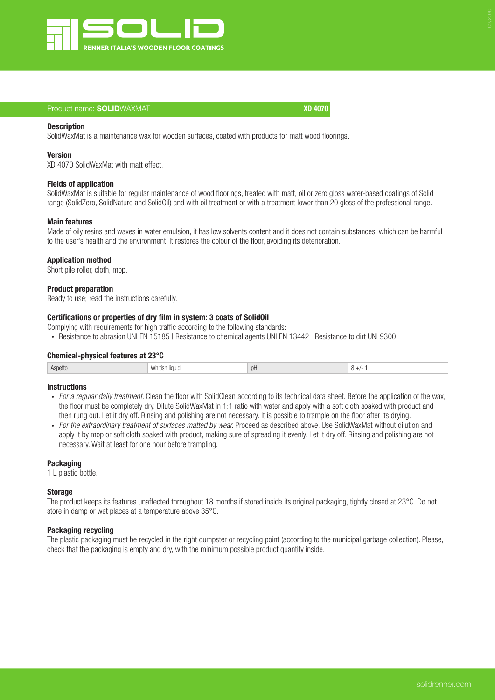

# Product name: SOLIDWAXMAT **XD 4070**

# **Description**

SolidWaxMat is a maintenance wax for wooden surfaces, coated with products for matt wood floorings.

## Version

XD 4070 SolidWaxMat with matt effect.

# Fields of application

SolidWaxMat is suitable for regular maintenance of wood floorings, treated with matt, oil or zero gloss water-based coatings of Solid range (SolidZero, SolidNature and SolidOil) and with oil treatment or with a treatment lower than 20 gloss of the professional range.

## Main features

Made of oily resins and waxes in water emulsion, it has low solvents content and it does not contain substances, which can be harmful to the user's health and the environment. It restores the colour of the floor, avoiding its deterioration.

## Application method

Short pile roller, cloth, mop.

# Product preparation

Ready to use; read the instructions carefully.

# Certifications or properties of dry film in system: 3 coats of SolidOil

Complying with requirements for high traffic according to the following standards:

∙ Resistance to abrasion UNI EN 15185 | Resistance to chemical agents UNI EN 13442 | Resistance to dirt UNI 9300

#### Chemical-physical features at 23°C

| pH<br>Aspetto<br>ੇਾ‼ish .<br>liaur<br>$\sim$ |
|----------------------------------------------|
|----------------------------------------------|

# **Instructions**

- ∙ *For a regular daily treatment.* Clean the floor with SolidClean according to its technical data sheet. Before the application of the wax, the floor must be completely dry. Dilute SolidWaxMat in 1:1 ratio with water and apply with a soft cloth soaked with product and then rung out. Let it dry off. Rinsing and polishing are not necessary. It is possible to trample on the floor after its drying.
- ∙ *For the extraordinary treatment of surfaces matted by wear.* Proceed as described above. Use SolidWaxMat without dilution and apply it by mop or soft cloth soaked with product, making sure of spreading it evenly. Let it dry off. Rinsing and polishing are not necessary. Wait at least for one hour before trampling.

# Packaging

1 L plastic bottle.

#### **Storage**

The product keeps its features unaffected throughout 18 months if stored inside its original packaging, tightly closed at 23°C. Do not store in damp or wet places at a temperature above 35°C.

#### Packaging recycling

The plastic packaging must be recycled in the right dumpster or recycling point (according to the municipal garbage collection). Please, check that the packaging is empty and dry, with the minimum possible product quantity inside.